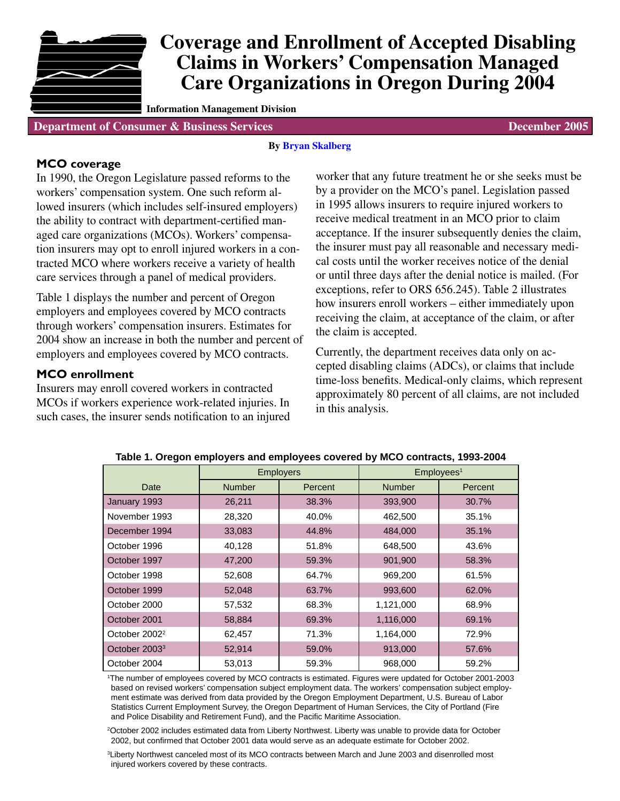

# **Coverage and Enrollment of Accepted Disabling Claims in Workers' Compensation Managed Care Organizations in Oregon During 2004**

**Information Management Division**

**Department of Consumer & Business Services December 2005 December 2005** 

# **By [Bryan Skalberg](mailto:DCBS.Research@state.or.us)**

#### **MCO coverage**

In 1990, the Oregon Legislature passed reforms to the workers' compensation system. One such reform allowed insurers (which includes self-insured employers) the ability to contract with department-certified managed care organizations (MCOs). Workers' compensation insurers may opt to enroll injured workers in a contracted MCO where workers receive a variety of health care services through a panel of medical providers.

Table 1 displays the number and percent of Oregon employers and employees covered by MCO contracts through workers' compensation insurers. Estimates for 2004 show an increase in both the number and percent of employers and employees covered by MCO contracts.

# **MCO enrollment**

Insurers may enroll covered workers in contracted MCOs if workers experience work-related injuries. In such cases, the insurer sends notification to an injured

worker that any future treatment he or she seeks must be by a provider on the MCO's panel. Legislation passed in 1995 allows insurers to require injured workers to receive medical treatment in an MCO prior to claim acceptance. If the insurer subsequently denies the claim, the insurer must pay all reasonable and necessary medical costs until the worker receives notice of the denial or until three days after the denial notice is mailed. (For exceptions, refer to ORS 656.245). Table 2 illustrates how insurers enroll workers – either immediately upon receiving the claim, at acceptance of the claim, or after the claim is accepted.

Currently, the department receives data only on accepted disabling claims (ADCs), or claims that include time-loss benefits. Medical-only claims, which represent approximately 80 percent of all claims, are not included in this analysis.

|                           | <b>Employers</b> |         | Emplovees <sup>1</sup> |         |  |  |  |
|---------------------------|------------------|---------|------------------------|---------|--|--|--|
| Date                      | <b>Number</b>    | Percent | <b>Number</b>          | Percent |  |  |  |
| January 1993              | 26,211           | 38.3%   | 393,900                | 30.7%   |  |  |  |
| November 1993             | 28,320           | 40.0%   | 462,500                | 35.1%   |  |  |  |
| December 1994             | 33,083           | 44.8%   | 484,000                | 35.1%   |  |  |  |
| October 1996              | 40,128           | 51.8%   | 648,500                | 43.6%   |  |  |  |
| October 1997              | 47,200           | 59.3%   | 901,900                | 58.3%   |  |  |  |
| October 1998              | 52,608           | 64.7%   | 969,200                | 61.5%   |  |  |  |
| October 1999              | 52,048           | 63.7%   | 993,600                | 62.0%   |  |  |  |
| October 2000              | 57,532           | 68.3%   | 1,121,000              | 68.9%   |  |  |  |
| October 2001              | 58,884           | 69.3%   | 1,116,000              | 69.1%   |  |  |  |
| October 2002 <sup>2</sup> | 62,457           | 71.3%   | 1,164,000              | 72.9%   |  |  |  |
| October 2003 <sup>3</sup> | 52,914           | 59.0%   | 913,000                | 57.6%   |  |  |  |
| October 2004              | 53,013           | 59.3%   | 968,000                | 59.2%   |  |  |  |

#### **Table 1. Oregon employers and employees covered by MCO contracts, 1993-2004**

1 The number of employees covered by MCO contracts is estimated. Figures were updated for October 2001-2003 based on revised workers' compensation subject employment data. The workers' compensation subject employment estimate was derived from data provided by the Oregon Employment Department, U.S. Bureau of Labor Statistics Current Employment Survey, the Oregon Department of Human Services, the City of Portland (Fire and Police Disability and Retirement Fund), and the Pacific Maritime Association.

2 October 2002 includes estimated data from Liberty Northwest. Liberty was unable to provide data for October 2002, but confirmed that October 2001 data would serve as an adequate estimate for October 2002.

3 Liberty Northwest canceled most of its MCO contracts between March and June 2003 and disenrolled most injured workers covered by these contracts.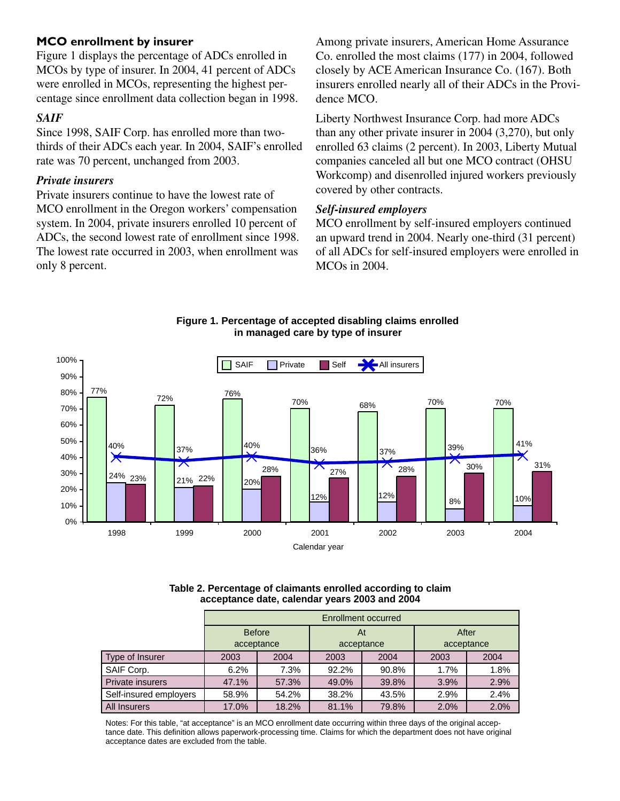# **MCO enrollment by insurer**

Figure 1 displays the percentage of ADCs enrolled in MCOs by type of insurer. In 2004, 41 percent of ADCs were enrolled in MCOs, representing the highest percentage since enrollment data collection began in 1998.

# *SAIF*

Since 1998, SAIF Corp. has enrolled more than twothirds of their ADCs each year. In 2004, SAIF's enrolled rate was 70 percent, unchanged from 2003.

#### *Private insurers*

Private insurers continue to have the lowest rate of MCO enrollment in the Oregon workers' compensation system. In 2004, private insurers enrolled 10 percent of ADCs, the second lowest rate of enrollment since 1998. The lowest rate occurred in 2003, when enrollment was only 8 percent.

Among private insurers, American Home Assurance Co. enrolled the most claims (177) in 2004, followed closely by ACE American Insurance Co. (167). Both insurers enrolled nearly all of their ADCs in the Providence MCO.

Liberty Northwest Insurance Corp. had more ADCs than any other private insurer in 2004 (3,270), but only enrolled 63 claims (2 percent). In 2003, Liberty Mutual companies canceled all but one MCO contract (OHSU Workcomp) and disenrolled injured workers previously covered by other contracts.

#### *Self-insured employers*

MCO enrollment by self-insured employers continued an upward trend in 2004. Nearly one-third (31 percent) of all ADCs for self-insured employers were enrolled in MCOs in 2004.



**Figure 1. Percentage of accepted disabling claims enrolled in managed care by type of insurer**

**Table 2. Percentage of claimants enrolled according to claim acceptance date, calendar years 2003 and 2004**

|                        | Enrollment occurred         |       |                  |       |                     |      |  |  |  |  |  |
|------------------------|-----------------------------|-------|------------------|-------|---------------------|------|--|--|--|--|--|
|                        | <b>Before</b><br>acceptance |       | At<br>acceptance |       | After<br>acceptance |      |  |  |  |  |  |
| Type of Insurer        | 2003                        | 2004  | 2003             | 2004  | 2003                | 2004 |  |  |  |  |  |
| SAIF Corp.             | 6.2%                        | 7.3%  | 92.2%            | 90.8% | 1.7%                | 1.8% |  |  |  |  |  |
| Private insurers       | 47.1%                       | 57.3% | 49.0%            | 39.8% | 3.9%                | 2.9% |  |  |  |  |  |
| Self-insured employers | 58.9%                       | 54.2% | 38.2%            | 43.5% | 2.9%                | 2.4% |  |  |  |  |  |
| All Insurers           | 17.0%                       | 18.2% | 81.1%            | 79.8% | 2.0%                | 2.0% |  |  |  |  |  |

Notes: For this table, "at acceptance" is an MCO enrollment date occurring within three days of the original acceptance date. This definition allows paperwork-processing time. Claims for which the department does not have original acceptance dates are excluded from the table.